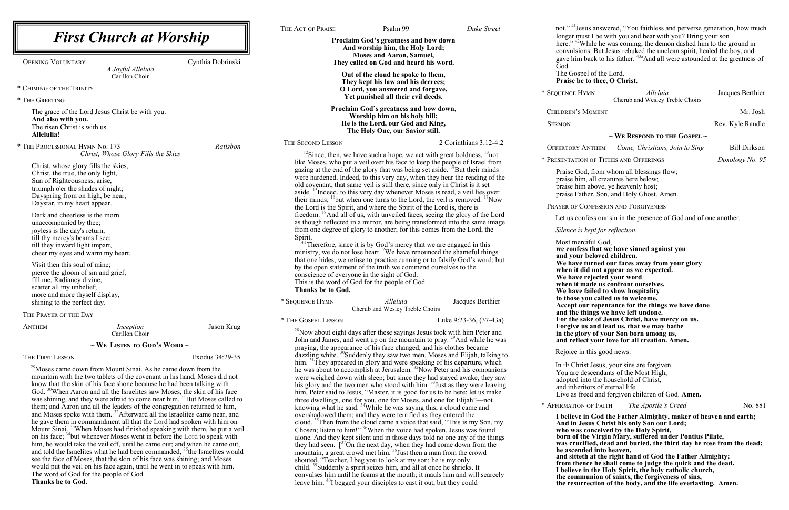#### **~ We Respond to the Gospel ~**

|                                                                                                                                                                                                                                                                                                                                                                                                                                                                                                                                                                                                                                                                                                                                          |                   | THE ACT OF PRAISE                                                                                                                                                                                                                                                                                                                                                                        | Psalm 99<br>Duke Street                                                                                                                                                                                                                                                                                                                                                                                                        |                                                                                                                                                                                                                | not." <sup>41</sup> Jesus answered, "You faithless and perverse generation, how mucl                                                                                                                                                                                                                                                                                                                                                                                                                            |                     |
|------------------------------------------------------------------------------------------------------------------------------------------------------------------------------------------------------------------------------------------------------------------------------------------------------------------------------------------------------------------------------------------------------------------------------------------------------------------------------------------------------------------------------------------------------------------------------------------------------------------------------------------------------------------------------------------------------------------------------------------|-------------------|------------------------------------------------------------------------------------------------------------------------------------------------------------------------------------------------------------------------------------------------------------------------------------------------------------------------------------------------------------------------------------------|--------------------------------------------------------------------------------------------------------------------------------------------------------------------------------------------------------------------------------------------------------------------------------------------------------------------------------------------------------------------------------------------------------------------------------|----------------------------------------------------------------------------------------------------------------------------------------------------------------------------------------------------------------|-----------------------------------------------------------------------------------------------------------------------------------------------------------------------------------------------------------------------------------------------------------------------------------------------------------------------------------------------------------------------------------------------------------------------------------------------------------------------------------------------------------------|---------------------|
| <b>First Church at Worship</b>                                                                                                                                                                                                                                                                                                                                                                                                                                                                                                                                                                                                                                                                                                           |                   | Proclaim God's greatness and bow down<br>And worship him, the Holy Lord;<br><b>Moses and Aaron, Samuel,</b>                                                                                                                                                                                                                                                                              |                                                                                                                                                                                                                                                                                                                                                                                                                                |                                                                                                                                                                                                                | longer must I be with you and bear with you? Bring your son<br>here." <sup>42</sup> While he was coming, the demon dashed him to the ground in<br>convulsions. But Jesus rebuked the unclean spirit, healed the boy, and<br>gave him back to his father. <sup>43a</sup> And all were astounded at the greatness of                                                                                                                                                                                              |                     |
| <b>OPENING VOLUNTARY</b><br>A Joyful Alleluia<br>Carillon Choir                                                                                                                                                                                                                                                                                                                                                                                                                                                                                                                                                                                                                                                                          | Cynthia Dobrinski | They called on God and heard his word.<br>Out of the cloud he spoke to them,                                                                                                                                                                                                                                                                                                             |                                                                                                                                                                                                                                                                                                                                                                                                                                | God.<br>The Gospel of the Lord.                                                                                                                                                                                |                                                                                                                                                                                                                                                                                                                                                                                                                                                                                                                 |                     |
|                                                                                                                                                                                                                                                                                                                                                                                                                                                                                                                                                                                                                                                                                                                                          |                   | They kept his law and his decrees;                                                                                                                                                                                                                                                                                                                                                       |                                                                                                                                                                                                                                                                                                                                                                                                                                | Praise be to thee, O Christ.                                                                                                                                                                                   |                                                                                                                                                                                                                                                                                                                                                                                                                                                                                                                 |                     |
| * CHIMING OF THE TRINITY<br>* THE GREETING                                                                                                                                                                                                                                                                                                                                                                                                                                                                                                                                                                                                                                                                                               |                   | O Lord, you answered and forgave,<br>Yet punished all their evil deeds.                                                                                                                                                                                                                                                                                                                  |                                                                                                                                                                                                                                                                                                                                                                                                                                | * SEQUENCE HYMN                                                                                                                                                                                                | Alleluia<br>Cherub and Wesley Treble Choirs                                                                                                                                                                                                                                                                                                                                                                                                                                                                     | Jacques Berthier    |
| The grace of the Lord Jesus Christ be with you.                                                                                                                                                                                                                                                                                                                                                                                                                                                                                                                                                                                                                                                                                          |                   | Proclaim God's greatness and bow down,                                                                                                                                                                                                                                                                                                                                                   |                                                                                                                                                                                                                                                                                                                                                                                                                                | <b>CHILDREN'S MOMENT</b>                                                                                                                                                                                       |                                                                                                                                                                                                                                                                                                                                                                                                                                                                                                                 | Mr. Josh            |
| And also with you.<br>The risen Christ is with us.<br>Allelulia!                                                                                                                                                                                                                                                                                                                                                                                                                                                                                                                                                                                                                                                                         |                   | Worship him on his holy hill;<br>He is the Lord, our God and King,<br>The Holy One, our Savior still.                                                                                                                                                                                                                                                                                    |                                                                                                                                                                                                                                                                                                                                                                                                                                | <b>SERMON</b>                                                                                                                                                                                                  |                                                                                                                                                                                                                                                                                                                                                                                                                                                                                                                 | Rev. Kyle Randle    |
|                                                                                                                                                                                                                                                                                                                                                                                                                                                                                                                                                                                                                                                                                                                                          |                   | THE SECOND LESSON                                                                                                                                                                                                                                                                                                                                                                        | 2 Corinthians 3:12-4:2                                                                                                                                                                                                                                                                                                                                                                                                         |                                                                                                                                                                                                                | $\sim$ We Respond to the Gospel $\sim$                                                                                                                                                                                                                                                                                                                                                                                                                                                                          |                     |
| * THE PROCESSIONAL HYMN No. 173<br>Christ, Whose Glory Fills the Skies                                                                                                                                                                                                                                                                                                                                                                                                                                                                                                                                                                                                                                                                   | Ratisbon          |                                                                                                                                                                                                                                                                                                                                                                                          | <sup>12</sup> Since, then, we have such a hope, we act with great boldness, $\frac{13}{2}$ not                                                                                                                                                                                                                                                                                                                                 | <b>OFFERTORY ANTHEM</b>                                                                                                                                                                                        | Come, Christians, Join to Sing                                                                                                                                                                                                                                                                                                                                                                                                                                                                                  | <b>Bill Dirkson</b> |
| Christ, whose glory fills the skies,                                                                                                                                                                                                                                                                                                                                                                                                                                                                                                                                                                                                                                                                                                     |                   |                                                                                                                                                                                                                                                                                                                                                                                          | like Moses, who put a veil over his face to keep the people of Israel from                                                                                                                                                                                                                                                                                                                                                     | * PRESENTATION OF TITHES AND OFFERINGS                                                                                                                                                                         |                                                                                                                                                                                                                                                                                                                                                                                                                                                                                                                 | Doxology No. 9:     |
| Christ, the true, the only light,<br>Sun of Righteousness, arise,<br>triumph o'er the shades of night;<br>Dayspring from on high, be near;<br>Daystar, in my heart appear.                                                                                                                                                                                                                                                                                                                                                                                                                                                                                                                                                               |                   | old covenant, that same veil is still there, since only in Christ is it set<br>the Lord is the Spirit, and where the Spirit of the Lord is, there is                                                                                                                                                                                                                                     | gazing at the end of the glory that was being set aside. <sup>14</sup> But their minds<br>were hardened. Indeed, to this very day, when they hear the reading of the<br>aside. <sup>15</sup> Indeed, to this very day whenever Moses is read, a veil lies over<br>their minds; <sup>16</sup> but when one turns to the Lord, the veil is removed. <sup>17</sup> Now                                                            | Praise God, from whom all blessings flow;<br>praise him, all creatures here below;<br>praise him above, ye heavenly host;<br>praise Father, Son, and Holy Ghost. Amen.<br>PRAYER OF CONFESSION AND FORGIVENESS |                                                                                                                                                                                                                                                                                                                                                                                                                                                                                                                 |                     |
| Dark and cheerless is the morn                                                                                                                                                                                                                                                                                                                                                                                                                                                                                                                                                                                                                                                                                                           |                   |                                                                                                                                                                                                                                                                                                                                                                                          | freedom. <sup>18</sup> And all of us, with unveiled faces, seeing the glory of the Lord                                                                                                                                                                                                                                                                                                                                        |                                                                                                                                                                                                                | Let us confess our sin in the presence of God and of one another.                                                                                                                                                                                                                                                                                                                                                                                                                                               |                     |
| unaccompanied by thee;                                                                                                                                                                                                                                                                                                                                                                                                                                                                                                                                                                                                                                                                                                                   |                   | from one degree of glory to another; for this comes from the Lord, the                                                                                                                                                                                                                                                                                                                   | as though reflected in a mirror, are being transformed into the same image                                                                                                                                                                                                                                                                                                                                                     |                                                                                                                                                                                                                |                                                                                                                                                                                                                                                                                                                                                                                                                                                                                                                 |                     |
| joyless is the day's return,<br>till thy mercy's beams I see;<br>till they inward light impart,<br>cheer my eyes and warm my heart.                                                                                                                                                                                                                                                                                                                                                                                                                                                                                                                                                                                                      |                   | Spirit.                                                                                                                                                                                                                                                                                                                                                                                  | Therefore, since it is by God's mercy that we are engaged in this<br>ministry, we do not lose heart. <sup>2</sup> We have renounced the shameful things<br>that one hides; we refuse to practice cunning or to falsify God's word; but                                                                                                                                                                                         | Silence is kept for reflection.<br>Most merciful God,<br>we confess that we have sinned against you<br>and your beloved children.                                                                              | We have turned our faces away from your glory                                                                                                                                                                                                                                                                                                                                                                                                                                                                   |                     |
| Visit then this soul of mine;<br>pierce the gloom of sin and grief;<br>fill me, Radiancy divine,<br>scatter all my unbelief;<br>more and more thyself display,                                                                                                                                                                                                                                                                                                                                                                                                                                                                                                                                                                           |                   | by the open statement of the truth we commend ourselves to the<br>conscience of everyone in the sight of God.<br>This is the word of God for the people of God.<br>Thanks be to God.<br>* SEQUENCE HYMN                                                                                                                                                                                  | Alleluia<br>Jacques Berthier                                                                                                                                                                                                                                                                                                                                                                                                   | when it did not appear as we expected.<br>We have rejected your word<br>when it made us confront ourselves.<br>We have failed to show hospitality<br>to those you called us to welcome.                        |                                                                                                                                                                                                                                                                                                                                                                                                                                                                                                                 |                     |
| shining to the perfect day.                                                                                                                                                                                                                                                                                                                                                                                                                                                                                                                                                                                                                                                                                                              |                   |                                                                                                                                                                                                                                                                                                                                                                                          | Cherub and Wesley Treble Choirs                                                                                                                                                                                                                                                                                                                                                                                                | and the things we have left undone.                                                                                                                                                                            | Accept our repentance for the things we have done                                                                                                                                                                                                                                                                                                                                                                                                                                                               |                     |
| THE PRAYER OF THE DAY<br>ANTHEM<br>Inception<br>Carillon Choir                                                                                                                                                                                                                                                                                                                                                                                                                                                                                                                                                                                                                                                                           | Jason Krug        | * THE GOSPEL LESSON                                                                                                                                                                                                                                                                                                                                                                      | Luke 9:23-36, (37-43a)<br>$^{28}$ Now about eight days after these sayings Jesus took with him Peter and                                                                                                                                                                                                                                                                                                                       | For the sake of Jesus Christ, have mercy on us.<br>Forgive us and lead us, that we may bathe<br>in the glory of your Son born among us,                                                                        |                                                                                                                                                                                                                                                                                                                                                                                                                                                                                                                 |                     |
| $\sim$ We Listen to God's Word $\sim$                                                                                                                                                                                                                                                                                                                                                                                                                                                                                                                                                                                                                                                                                                    |                   |                                                                                                                                                                                                                                                                                                                                                                                          | John and James, and went up on the mountain to pray. <sup>29</sup> And while he was                                                                                                                                                                                                                                                                                                                                            | and reflect your love for all creation. Amen.                                                                                                                                                                  |                                                                                                                                                                                                                                                                                                                                                                                                                                                                                                                 |                     |
| THE FIRST LESSON                                                                                                                                                                                                                                                                                                                                                                                                                                                                                                                                                                                                                                                                                                                         | Exodus 34:29-35   | praying, the appearance of his face changed, and his clothes became                                                                                                                                                                                                                                                                                                                      | dazzling white. <sup>30</sup> Suddenly they saw two men, Moses and Elijah, talking to                                                                                                                                                                                                                                                                                                                                          | Rejoice in this good news:                                                                                                                                                                                     |                                                                                                                                                                                                                                                                                                                                                                                                                                                                                                                 |                     |
| <sup>29</sup> Moses came down from Mount Sinai. As he came down from the<br>mountain with the two tablets of the covenant in his hand, Moses did not<br>know that the skin of his face shone because he had been talking with<br>God. <sup>30</sup> When Aaron and all the Israelites saw Moses, the skin of his face<br>was shining, and they were afraid to come near him. <sup>31</sup> But Moses called to                                                                                                                                                                                                                                                                                                                           |                   |                                                                                                                                                                                                                                                                                                                                                                                          | him. <sup>31</sup> They appeared in glory and were speaking of his departure, which<br>he was about to accomplish at Jerusalem. <sup>32</sup> Now Peter and his companions<br>were weighed down with sleep; but since they had stayed awake, they saw<br>his glory and the two men who stood with him. <sup>33</sup> Just as they were leaving<br>him, Peter said to Jesus, "Master, it is good for us to be here; let us make | In $+$ Christ Jesus, your sins are forgiven.<br>You are descendants of the Most High,<br>adopted into the household of Christ,<br>and inheritors of eternal life.                                              | Live as freed and forgiven children of God. Amen.                                                                                                                                                                                                                                                                                                                                                                                                                                                               |                     |
| them; and Aaron and all the leaders of the congregation returned to him,                                                                                                                                                                                                                                                                                                                                                                                                                                                                                                                                                                                                                                                                 |                   | three dwellings, one for you, one for Moses, and one for Elijah"-not<br>knowing what he said. <sup>34</sup> While he was saying this, a cloud came and                                                                                                                                                                                                                                   |                                                                                                                                                                                                                                                                                                                                                                                                                                | * AFFIRMATION OF FAITH                                                                                                                                                                                         | The Apostle's Creed                                                                                                                                                                                                                                                                                                                                                                                                                                                                                             | No. 881             |
| and Moses spoke with them. <sup>32</sup> Afterward all the Israelites came near, and<br>he gave them in commandment all that the Lord had spoken with him on<br>Mount Sinai. <sup>33</sup> When Moses had finished speaking with them, he put a veil<br>on his face; <sup>34</sup> but whenever Moses went in before the Lord to speak with<br>him, he would take the veil off, until he came out; and when he came out,<br>and told the Israelites what he had been commanded, <sup>35</sup> the Israelites would<br>see the face of Moses, that the skin of his face was shining; and Moses<br>would put the veil on his face again, until he went in to speak with him.<br>The word of God for the people of God<br>Thanks be to God. |                   | overshadowed them; and they were terrified as they entered the<br>mountain, a great crowd met him. <sup>38</sup> Just then a man from the crowd<br>shouted, "Teacher, I beg you to look at my son; he is my only<br>child. <sup>39</sup> Suddenly a spirit seizes him, and all at once he shrieks. It<br>leave him. <sup>40</sup> I begged your disciples to cast it out, but they could | cloud. <sup>35</sup> Then from the cloud came a voice that said, "This is my Son, my<br>Chosen; listen to him!" <sup>36</sup> When the voice had spoken, Jesus was found<br>alone. And they kept silent and in those days told no one any of the things<br>they had seen. $\int_0^{37}$ On the next day, when they had come down from the<br>convulses him until he foams at the mouth; it mauls him and will scarcely         | And in Jesus Christ his only Son our Lord;<br>who was conceived by the Holy Spirit,<br>he ascended into heaven,                                                                                                | I believe in God the Father Almighty, maker of heaven and earth;<br>born of the Virgin Mary, suffered under Pontius Pilate,<br>was crucified, dead and buried, the third day he rose from the dead;<br>and sitteth at the right hand of God the Father Almighty;<br>from thence he shall come to judge the quick and the dead.<br>I believe in the Holy Spirit, the holy catholic church,<br>the communion of saints, the forgiveness of sins,<br>the resurrection of the body, and the life everlasting. Amen. |                     |

#### pel of the Lord. **e** to thee, O Christ.

rrection of the body, and the life everlasting. Amen.